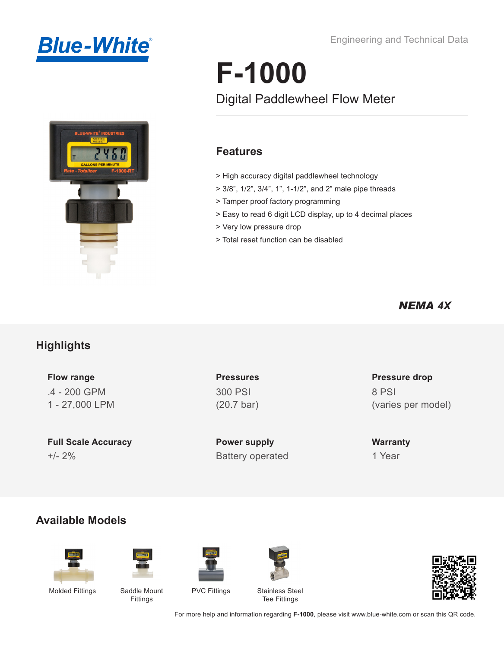



#### Engineering and Technical Data

# **F-1000**

## Digital Paddlewheel Flow Meter

#### **Features**

- > High accuracy digital paddlewheel technology
- > 3/8", 1/2", 3/4", 1", 1-1/2", and 2" male pipe threads
- > Tamper proof factory programming
- > Easy to read 6 digit LCD display, up to 4 decimal places
- > Very low pressure drop
- > Total reset function can be disabled

#### *NEMA 4X*

### **Highlights**

**Flow range** .4 - 200 GPM 1 - 27,000 LPM

**Full Scale Accuracy** +/- 2% Battery operated

**Pressures** 300 PSI (20.7 bar)

**Power supply**

#### **Pressure drop** 8 PSI (varies per model)

**Warranty** 1 Year

#### **Available Models**







Fittings





PVC Fittings Stainless Steel Tee Fittings



For more help and information regarding **F-1000**, please visit www.blue-white.com or scan this QR code.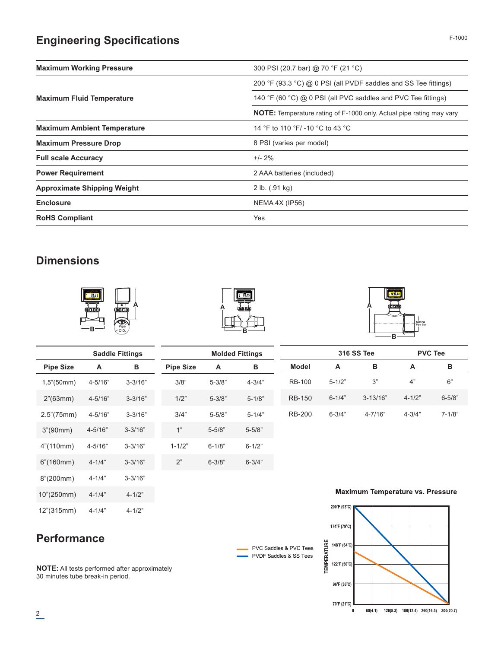## **Engineering Specifications**

| <b>Maximum Working Pressure</b>    | 300 PSI (20.7 bar) @ 70 °F (21 °C)                                          |
|------------------------------------|-----------------------------------------------------------------------------|
|                                    | 200 °F (93.3 °C) @ 0 PSI (all PVDF saddles and SS Tee fittings)             |
| <b>Maximum Fluid Temperature</b>   | 140 °F (60 °C) @ 0 PSI (all PVC saddles and PVC Tee fittings)               |
|                                    | <b>NOTE:</b> Temperature rating of F-1000 only. Actual pipe rating may vary |
| <b>Maximum Ambient Temperature</b> | 14 °F to 110 °F/ -10 °C to 43 °C                                            |
| <b>Maximum Pressure Drop</b>       | 8 PSI (varies per model)                                                    |
| <b>Full scale Accuracy</b>         | $+/- 2\%$                                                                   |
| <b>Power Requirement</b>           | 2 AAA batteries (included)                                                  |
| <b>Approximate Shipping Weight</b> | 2 lb. (0.91 kg)                                                             |
| <b>Enclosure</b>                   | NEMA 4X (IP56)                                                              |
| <b>RoHS Compliant</b>              | Yes                                                                         |

#### **Dimensions**





PVC Saddles & PVC Tees PVDF Saddles & SS Tees



|                          |             | <b>Saddle Fittings</b> |                  |            | <b>Molded Fittings</b> |               |              | <b>316 SS Tee</b>                       |            | <b>PVC Tee</b> |
|--------------------------|-------------|------------------------|------------------|------------|------------------------|---------------|--------------|-----------------------------------------|------------|----------------|
| <b>Pipe Size</b>         | A           | В                      | <b>Pipe Size</b> | A          | в                      | Model         | A            | в                                       | A          | в              |
| 1.5" (50mm)              | $4 - 5/16"$ | $3 - 3/16"$            | 3/8"             | $5 - 3/8"$ | $4 - 3/4"$             | <b>RB-100</b> | $5 - 1/2"$   | 3"                                      | 4"         | 6"             |
| $2^{\prime\prime}(63mm)$ | $4 - 5/16"$ | $3 - 3/16"$            | 1/2"             | $5 - 3/8"$ | $5 - 1/8"$             | <b>RB-150</b> | $6 - 1/4"$   | $3 - 13/16"$                            | $4 - 1/2"$ | $6 - 5/8$ "    |
| $2.5^{\circ}(75mm)$      | $4 - 5/16"$ | $3 - 3/16"$            | 3/4"             | $5 - 5/8"$ | $5 - 1/4"$             | <b>RB-200</b> | $6 - 3/4"$   | $4 - 7/16"$                             | $4 - 3/4"$ | $7 - 1/8"$     |
| 3''(90mm)                | $4 - 5/16"$ | $3 - 3/16"$            | 1"               | $5 - 5/8"$ | $5 - 5/8"$             |               |              |                                         |            |                |
| $4^{\circ}(110mm)$       | $4 - 5/16"$ | $3 - 3/16"$            | $1 - 1/2"$       | $6 - 1/8"$ | $6 - 1/2"$             |               |              |                                         |            |                |
| 6''(160mm)               | $4 - 1/4"$  | $3 - 3/16"$            | 2"               | $6 - 3/8"$ | $6 - 3/4"$             |               |              |                                         |            |                |
| 8''(200mm)               | $4 - 1/4"$  | $3 - 3/16"$            |                  |            |                        |               |              |                                         |            |                |
| 10"(250mm)               | $4 - 1/4"$  | $4 - 1/2"$             |                  |            |                        |               |              | <b>Maximum Temperature vs. Pressure</b> |            |                |
| 12"(315mm)               | $4 - 1/4"$  | $4 - 1/2"$             |                  |            |                        |               | 200°F (93°C) |                                         |            |                |



**Performance**

**NOTE:** All tests performed after approximately 30 minutes tube break-in period.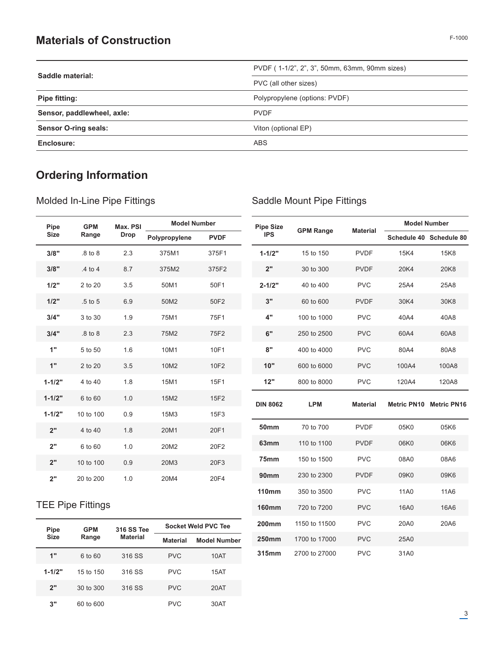#### **Materials of Construction**

| Saddle material:            | PVDF (1-1/2", 2", 3", 50mm, 63mm, 90mm sizes) |
|-----------------------------|-----------------------------------------------|
|                             | PVC (all other sizes)                         |
| Pipe fitting:               | Polypropylene (options: PVDF)                 |
| Sensor, paddlewheel, axle:  | <b>PVDF</b>                                   |
| <b>Sensor O-ring seals:</b> | Viton (optional EP)                           |
| Enclosure:                  | ABS                                           |

## **Ordering Information**

Molded In-Line Pipe Fittings

**160mm** 720 to 7200 PVC 16A0 16A6

**200mm** 1150 to 11500 PVC 20A0 20A6

**250mm** 1700 to 17000 PVC 25A0 **315mm** 2700 to 27000 PVC 31A0

| Pipe        | <b>GPM</b>  | Max. PSI    | <b>Model Number</b> |             | <b>Pipe Size</b> |                  |                 |                    | <b>Model Number</b>     |
|-------------|-------------|-------------|---------------------|-------------|------------------|------------------|-----------------|--------------------|-------------------------|
| <b>Size</b> | Range       | <b>Drop</b> | Polypropylene       | <b>PVDF</b> | <b>IPS</b>       | <b>GPM Range</b> | <b>Material</b> |                    | Schedule 40 Schedule 80 |
| 3/8"        | .8 to 8     | 2.3         | 375M1               | 375F1       | $1 - 1/2"$       | 15 to 150        | <b>PVDF</b>     | 15K4               | 15K8                    |
| 3/8"        | .4 to 4     | 8.7         | 375M2               | 375F2       | 2"               | 30 to 300        | <b>PVDF</b>     | 20K4               | 20K8                    |
| 1/2"        | 2 to 20     | 3.5         | 50M1                | 50F1        | $2 - 1/2"$       | 40 to 400        | <b>PVC</b>      | 25A4               | 25A8                    |
| 1/2"        | $.5$ to $5$ | 6.9         | 50M2                | 50F2        | 3"               | 60 to 600        | <b>PVDF</b>     | 30K4               | 30K8                    |
| 3/4"        | 3 to 30     | 1.9         | 75M1                | 75F1        | 4"               | 100 to 1000      | <b>PVC</b>      | 40A4               | 40A8                    |
| 3/4"        | .8 to 8     | 2.3         | 75M2                | 75F2        | 6"               | 250 to 2500      | <b>PVC</b>      | 60A4               | 60A8                    |
| 1"          | 5 to 50     | 1.6         | 10M1                | 10F1        | 8"               | 400 to 4000      | <b>PVC</b>      | 80A4               | 80A8                    |
| 1"          | 2 to 20     | 3.5         | 10M2                | 10F2        | 10"              | 600 to 6000      | <b>PVC</b>      | 100A4              | 100A8                   |
| $1 - 1/2"$  | 4 to 40     | 1.8         | 15M1                | 15F1        | 12"              | 800 to 8000      | <b>PVC</b>      | 120A4              | 120A8                   |
| $1 - 1/2"$  | 6 to 60     | 1.0         | 15M2                | 15F2        | <b>DIN 8062</b>  | <b>LPM</b>       | <b>Material</b> | <b>Metric PN10</b> | <b>Metric PN16</b>      |
| $1 - 1/2"$  | 10 to 100   | 0.9         | 15M3                | 15F3        |                  |                  |                 |                    |                         |
| 2"          | 4 to 40     | 1.8         | 20M1                | 20F1        | <b>50mm</b>      | 70 to 700        | <b>PVDF</b>     | 05K0               | 05K6                    |
| 2"          | 6 to 60     | 1.0         | 20M2                | 20F2        | 63mm             | 110 to 1100      | <b>PVDF</b>     | 06K0               | 06K6                    |
| 2"          | 10 to 100   | 0.9         | 20M3                | 20F3        | 75mm             | 150 to 1500      | <b>PVC</b>      | 08A0               | 08A6                    |
| 2"          | 20 to 200   | 1.0         | 20M4                | 20F4        | 90 <sub>mm</sub> | 230 to 2300      | <b>PVDF</b>     | 09K0               | 09K6                    |
|             |             |             |                     |             | <b>110mm</b>     | 350 to 3500      | <b>PVC</b>      | 11A0               | 11A6                    |

#### TEE Pipe Fittings

|                                                      | <b>GPM</b> | <b>316 SS Tee</b> | Socket Weld PVC Tee |                     |  |  |  |  |
|------------------------------------------------------|------------|-------------------|---------------------|---------------------|--|--|--|--|
| <b>Pipe</b><br><b>Size</b><br>1"<br>$1 - 1/2"$<br>2" | Range      | <b>Material</b>   | <b>Material</b>     | <b>Model Number</b> |  |  |  |  |
|                                                      | 6 to 60    | 316 SS            | <b>PVC</b>          | 10AT                |  |  |  |  |
|                                                      | 15 to 150  | 316 SS            | <b>PVC</b>          | 15AT                |  |  |  |  |
|                                                      | 30 to 300  | 316 SS            | <b>PVC</b>          | 20AT                |  |  |  |  |
| 3"                                                   | 60 to 600  |                   | <b>PVC</b>          | 30AT                |  |  |  |  |